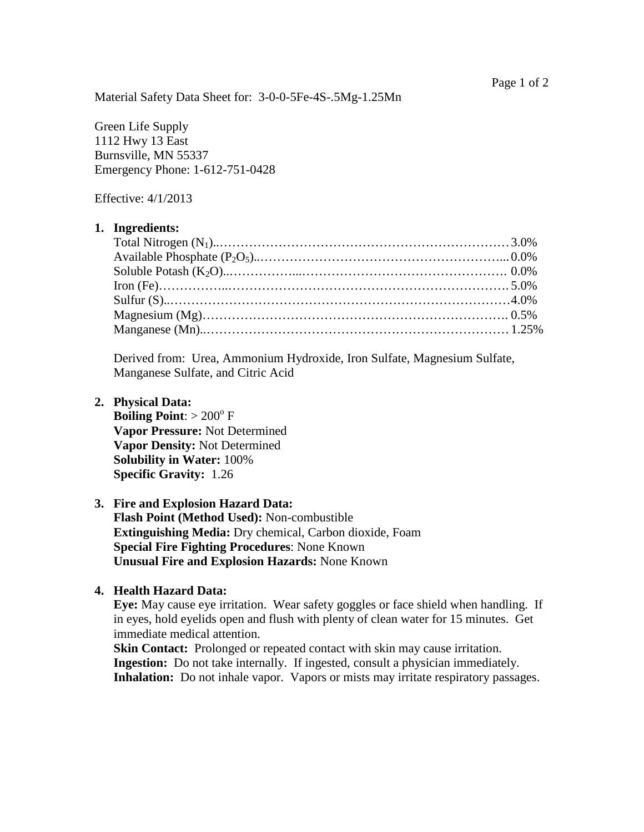Material Safety Data Sheet for: 3-0-0-5Fe-4S-.5Mg-1.25Mn

Green Life Supply 1112 Hwy 13 East Burnsville, MN 55337 Emergency Phone: 1-612-751-0428

Effective: 4/1/2013

#### **1. Ingredients:**

Derived from: Urea, Ammonium Hydroxide, Iron Sulfate, Magnesium Sulfate, Manganese Sulfate, and Citric Acid

#### **2. Physical Data:**

**Boiling Point:**  $> 200^{\circ}$  F **Vapor Pressure:** Not Determined **Vapor Density:** Not Determined **Solubility in Water:** 100% **Specific Gravity:** 1.26

# **3. Fire and Explosion Hazard Data: Flash Point (Method Used):** Non-combustible **Extinguishing Media:** Dry chemical, Carbon dioxide, Foam **Special Fire Fighting Procedures**: None Known **Unusual Fire and Explosion Hazards:** None Known

#### **4. Health Hazard Data:**

 **Eye:** May cause eye irritation. Wear safety goggles or face shield when handling. If in eyes, hold eyelids open and flush with plenty of clean water for 15 minutes. Get immediate medical attention.

**Skin Contact:** Prolonged or repeated contact with skin may cause irritation. **Ingestion:** Do not take internally. If ingested, consult a physician immediately. **Inhalation:** Do not inhale vapor. Vapors or mists may irritate respiratory passages.